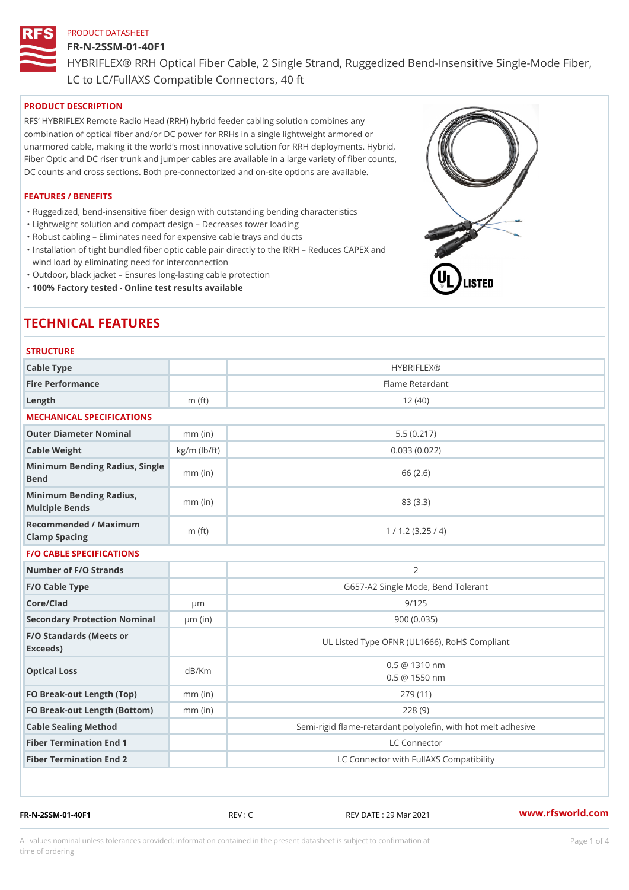## FR-N-2SSM-01-40F1

HYBRIFLEX® RRH Optical Fiber Cable, 2 Single Strand, Ruggedized Be

LC to LC/FullAXS Compatible Connectors, 40 ft

## PRODUCT DESCRIPTION

RFS HYBRIFLEX Remote Radio Head (RRH) hybrid feeder cabling solution combines any combination of optical fiber and/or DC power for RRHs in a single lightweight armored or unarmored cable, making it the world s most innovative solution for RRH deployments. Hybrid, Fiber Optic and DC riser trunk and jumper cables are available in a large variety of fiber counts, DC counts and cross sections. Both pre-connectorized and on-site options are available.

## FEATURES / BENEFITS

"Ruggedized, bend-insensitive fiber design with outstanding bending characteristics

- "Lightweight solution and compact design Decreases tower loading
- "Robust cabling Eliminates need for expensive cable trays and ducts
- "Installation of tight bundled fiber optic cable pair directly to the RRH Aeduces CAPEX and wind load by eliminating need for interconnection
- "Outdoor, black jacket Ensures long-lasting cable protection
- "100% Factory tested Online test results available

# TECHNICAL FEATURES

## STRUCTURE

| .                                                 |                    |                                                          |
|---------------------------------------------------|--------------------|----------------------------------------------------------|
| Cable Type                                        |                    | <b>HYBRIFLEX®</b>                                        |
| Fire Performance                                  |                    | Flame Retardant                                          |
| Length                                            | $m$ (ft)           | 12(40)                                                   |
| MECHANICAL SPECIFICATIONS                         |                    |                                                          |
| Outer Diameter Nominal                            | $mm$ (in)          | 5.5(0.217)                                               |
| Cable Weight                                      | $kg/m$ ( $lb/ft$ ) | 0.033(0.022)                                             |
| Minimum Bending Radius, Single<br>Bend            |                    | 66 (2.6)                                                 |
| Minimum Bending Radius, mm (in)<br>Multiple Bends |                    | 83 (3.3)                                                 |
| Recommended / Maximum<br>Clamp Spacing            | $m$ (ft)           | 1 / 1.2 (3.25 / 4)                                       |
| <b>F/O CABLE SPECIFICATIONS</b>                   |                    |                                                          |
| Number of F/O Strands                             |                    | $\overline{2}$                                           |
| F/O Cable Type                                    |                    | G657-A2 Single Mode, Bend Tolerant                       |
| Core/Clad                                         | $\mu$ m            | 9/125                                                    |
| Secondary Protection Nomimal(in)                  |                    | 900 (0.035)                                              |
| F/O Standards (Meets or<br>Exceeds)               |                    | UL Listed Type OFNR (UL1666), RoHS Compliant             |
| Optical Loss                                      | dB/Km              | $0.5 \ @ \ 1310 \ nm$<br>$0.5 \t@ 1550 nm$               |
| FO Break-out Length (Top)mm (in)                  |                    | 279 (11)                                                 |
| FO Break-out Length (Bottomm) (in)                |                    | 228(9)                                                   |
| Cable Sealing Method                              |                    | Semi-rigid flame-retardant polyolefin, with hot melt adl |
| Fiber Termination End                             |                    | LC Connector                                             |
| Fiber Termination End 2                           |                    | LC Connector with FullAXS Compatibility                  |

FR-N-2SSM-01-40F1 REV : C REV DATE : 29 Mar 2021 [www.](https://www.rfsworld.com)rfsworld.com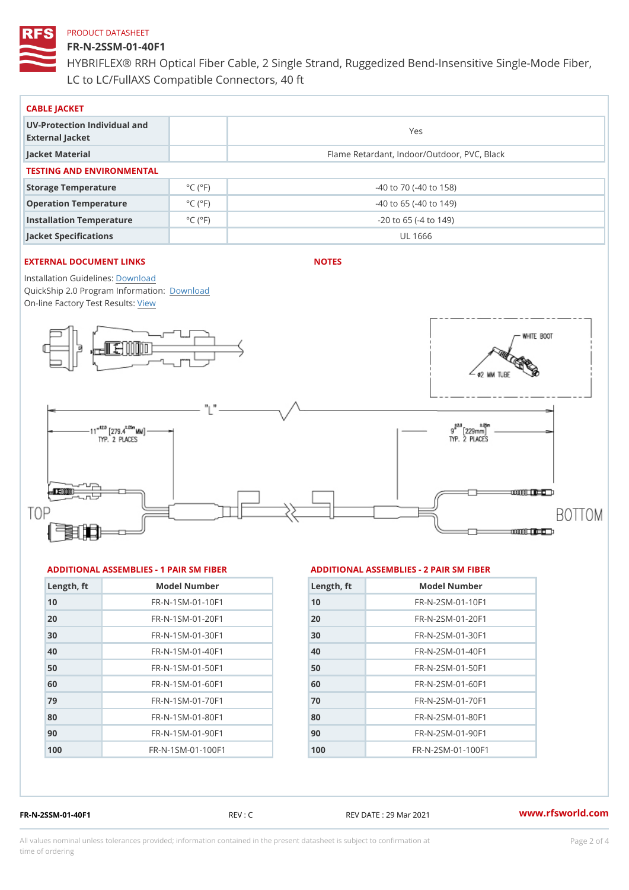## FR-N-2SSM-01-40F1

HYBRIFLEX® RRH Optical Fiber Cable, 2 Single Strand, Ruggedized Be LC to LC/FullAXS Compatible Connectors, 40 ft

| CABLE JACKET                                    |                              |                                             |  |  |  |
|-------------------------------------------------|------------------------------|---------------------------------------------|--|--|--|
| UV-Protection Individual and<br>External Jacket |                              | Yes                                         |  |  |  |
| Jacket Material                                 |                              | Flame Retardant, Indoor/Outdoor, PVC, Black |  |  |  |
| TESTING AND ENVIRONMENTAL                       |                              |                                             |  |  |  |
| Storage Temperature                             | $^{\circ}$ C ( $^{\circ}$ F) | $-40$ to $70$ ( $-40$ to $158$ )            |  |  |  |
| Operation Temperature                           | $^{\circ}$ C ( $^{\circ}$ F  | $-40$ to 65 ( $-40$ to 149)                 |  |  |  |
| Installation Temperature                        | $^{\circ}$ C ( $^{\circ}$ F  | $-20$ to 65 ( $-4$ to 149)                  |  |  |  |
| Jacket Specifications                           |                              | UL 1666                                     |  |  |  |

## EXTERNAL DOCUMENT LINKS

NOTES

Installation Guidelwinessad QuickShip 2.0 Program [Informa](http://www.rfsworld.com/images/hybriflex/quickship_program_2.pdf)tion: On-line Factory Te[s](https://www.rfsworld.com/pictures/userfiles/programs/AAST Latest Version.zip)teResults:

### ADDITIONAL ASSEMBLIES - 1 PAIR SM FIBERED DITIONAL ASSEMBLIES - 2 PAIR SM FIBER

| Length, ft | Model Number                    |
|------------|---------------------------------|
| 10         | FR-N-1SM-01-10F1                |
| 20         | FR-N-1SM-01-20F1                |
| 30         | $FR - N - 1$ S M - 01 - 30 F 1  |
| 40         | FR-N-1SM-01-40F1                |
| 50         | FR-N-1SM-01-50F1                |
| 60         | $FR - N - 1$ S M - 01 - 60 F 1  |
| 79         | $FR - N - 1$ S M - 01 - 70 F 1  |
| 80         | $FR - N - 1$ S M - 01 - 80 F 1  |
| 90         | $FR - N - 1$ S M - 01 - 90 F 1  |
| 100        | $FR - N - 1$ S M - 01 - 100 F 1 |

| Length, ft | Model Number                  |
|------------|-------------------------------|
| 10         | $FR - N - 2 SM - 01 - 10 F1$  |
| 20         | $FR - N - 2 SM - 01 - 20 F1$  |
| 30         | $FR - N - 2 S M - 01 - 30 F1$ |
| 40         | $FR - N - 2 SM - 01 - 40 F1$  |
| 50         | $FR - N - 2 SM - 01 - 50 F1$  |
| 60         | $FR - N - 2 S M - 01 - 60 F1$ |
| 70         | FR-N-2SM-01-70F1              |
| 80         | $FR - N - 2 S M - 01 - 80 F1$ |
| 90         | FR-N-2SM-01-90F1              |
| 100        | $FR - N - 2 SM - 01 - 100 F1$ |

FR-N-2SSM-01-40F1 REV : C REV DATE : 29 Mar 2021 [www.](https://www.rfsworld.com)rfsworld.com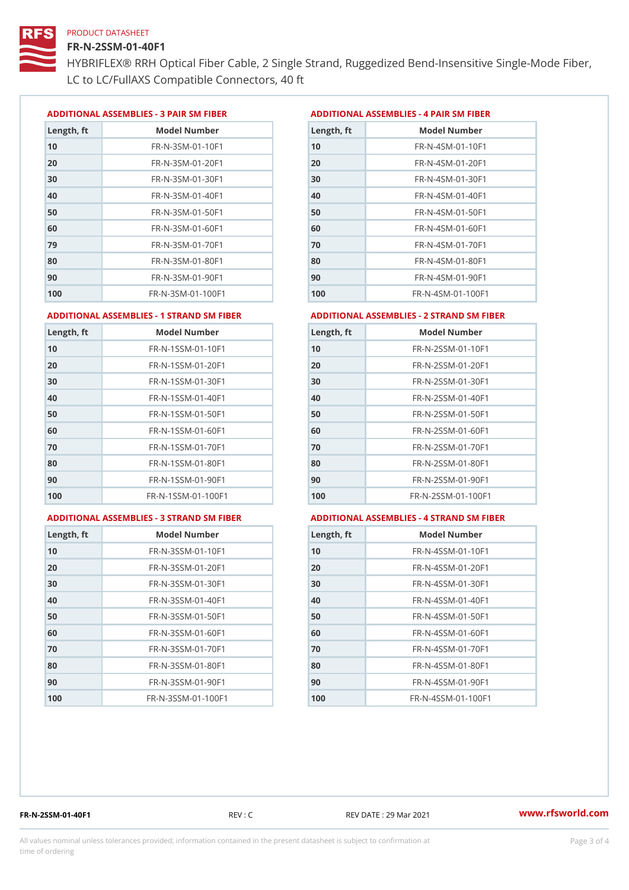## FR-N-2SSM-01-40F1

HYBRIFLEX® RRH Optical Fiber Cable, 2 Single Strand, Ruggedized Be LC to LC/FullAXS Compatible Connectors, 40 ft

ADDITIONAL ASSEMBLIES - 3 PAIR SM FIBERED DITIONAL ASSEMBLIES - 4 PAIR SM FIBER

| Length, ft | Model Number                   |
|------------|--------------------------------|
| 10         | $FR - N - 3 S M - 01 - 10 F1$  |
| 20         | FR-N-3SM-01-20F1               |
| 30         | FR-N-3SM-01-30F1               |
| 40         | $FR - N - 3 S M - 01 - 40 F1$  |
| 50         | FR-N-3SM-01-50F1               |
| 60         | $FR - N - 3 S M - 01 - 60 F1$  |
| 79         | $FR - N - 3 S M - 01 - 70 F1$  |
| 80         | $FR - N - 3 S M - 01 - 80 F1$  |
| 90         | FR-N-3SM-01-90F1               |
| 100        | $FR - N - 3 S M - 01 - 100 F1$ |

| Length, ft | Model Number                   |
|------------|--------------------------------|
| 10         | FR-N-4SM-01-10F1               |
| 20         | $FR - N - 4 SM - 01 - 20 F1$   |
| 30         | $FR - N - 4 S M - 01 - 30 F1$  |
| 40         | $FR - N - 4 SM - 01 - 40 F1$   |
| 50         | FR-N-4SM-01-50F1               |
| 60         | $FR - N - 4 SM - 01 - 60 F1$   |
| 70         | FR-N-4SM-01-70F1               |
| 80         | $FR - N - 4 S M - 01 - 80 F1$  |
| 90         | FR-N-4SM-01-90F1               |
| 100        | $FR - N - 4 S M - 01 - 100 F1$ |

### ADDITIONAL ASSEMBLIES - 1 STRAND SM FABSDRTIONAL ASSEMBLIES - 2 STRAND SM FIBER

| Length, ft | Model Number                     | $L$ ength, ft | Model Number                |
|------------|----------------------------------|---------------|-----------------------------|
| 10         | FR-N-1SSM-01-10F1                | 10            | FR-N-2SSM-01-10F1           |
| 20         | FR-N-1SSM-01-20F1                | 20            | FR-N-2SSM-01-20F1           |
| 30         | FR-N-1SSM-01-30F1                | 30            | FR-N-2SSM-01-30F1           |
| 40         | $FR - N - 1$ S S M - 01 - 40 F 1 | 40            | $FR - N - 2SSM - 01 - 40F1$ |
| 50         | $FR - N - 1$ S S M - 01 - 50 F 1 | 50            | $FR - N - 2SSM - 01 - 50F1$ |
| 60         | FR-N-1SSM-01-60F1                | 60            | $FR - N - 2SSM - 01 - 60F1$ |
| 70         | $FR - N - 1$ S S M - 01 - 70 F 1 | 70            | $FR - N - 2SSM - 01 - 70F1$ |
| 80         | FR-N-1SSM-01-80F1                | 80            | FR-N-2SSM-01-80F1           |
| 90         | FR-N-1SSM-01-90F1                | 90            | $FR - N - 2SSM - 01 - 90F1$ |
| 100        | FR-N-1SSM-01-100F1               | 100           | FR-N-2SSM-01-100F1          |
|            |                                  |               |                             |

#### ADDITIONAL ASSEMBLIES - 3 STRAND SM FABSDRTIONAL ASSEMBLIES - 4 STRAND SM FIBER

| Length, ft | Model Number                    |
|------------|---------------------------------|
| 10         | $FR - N - 3 S S M - 01 - 10 F1$ |
| 20         | FR-N-3SSM-01-20F1               |
| 30         | $FR - N - 3 S S M - 01 - 30 F1$ |
| 40         | FR-N-3SSM-01-40F1               |
| 50         | FR-N-3SSM-01-50F1               |
| 60         | FR-N-3SSM-01-60F1               |
| 70         | FR-N-3SSM-01-70F1               |
| 80         | FR-N-3SSM-01-80F1               |
| 90         | FR-N-3SSM-01-90F1               |
| 100        | FR-N-3SSM-01-100F1              |

| Length, ft | Model Number                     |
|------------|----------------------------------|
| 10         | $FR - N - 4$ S S M - 01 - 10 F 1 |
| 20         | $FR - N - 4 S S M - 01 - 20 F1$  |
| 30         | $FR - N - 4 S S M - 01 - 30 F1$  |
| 40         | $FR - N - 4 S S M - 01 - 40 F1$  |
| 50         | FR-N-4SSM-01-50F1                |
| 60         | FR-N-4SSM-01-60F1                |
| 70         | $FR - N - 4$ S S M - 01 - 70 F 1 |
| 80         | FR-N-4SSM-01-80F1                |
| 90         | $FR - N - 4 S S M - 01 - 90 F1$  |
| 100        | FR-N-4SSM-01-100F1               |

FR-N-2SSM-01-40F1 REV : C REV DATE : 29 Mar 2021 [www.](https://www.rfsworld.com)rfsworld.com

All values nominal unless tolerances provided; information contained in the present datasheet is subject to Pcapgeling that i time of ordering